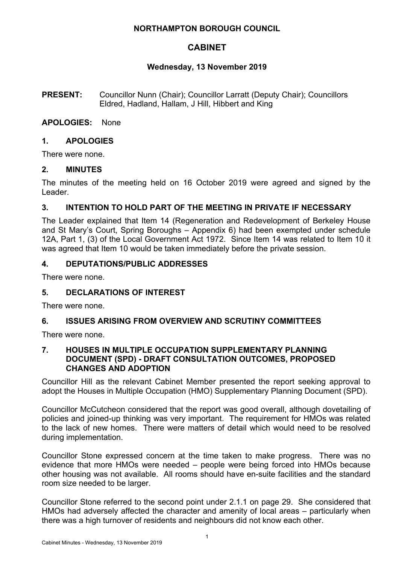#### **NORTHAMPTON BOROUGH COUNCIL**

# **CABINET**

### **Wednesday, 13 November 2019**

**PRESENT:** Councillor Nunn (Chair); Councillor Larratt (Deputy Chair); Councillors Eldred, Hadland, Hallam, J Hill, Hibbert and King

**APOLOGIES:** None

### **1. APOLOGIES**

There were none.

## **2. MINUTES**

The minutes of the meeting held on 16 October 2019 were agreed and signed by the Leader.

## **3. INTENTION TO HOLD PART OF THE MEETING IN PRIVATE IF NECESSARY**

The Leader explained that Item 14 (Regeneration and Redevelopment of Berkeley House and St Mary's Court, Spring Boroughs – Appendix 6) had been exempted under schedule 12A, Part 1, (3) of the Local Government Act 1972. Since Item 14 was related to Item 10 it was agreed that Item 10 would be taken immediately before the private session.

### **4. DEPUTATIONS/PUBLIC ADDRESSES**

There were none.

### **5. DECLARATIONS OF INTEREST**

There were none.

### **6. ISSUES ARISING FROM OVERVIEW AND SCRUTINY COMMITTEES**

There were none.

#### **7. HOUSES IN MULTIPLE OCCUPATION SUPPLEMENTARY PLANNING DOCUMENT (SPD) - DRAFT CONSULTATION OUTCOMES, PROPOSED CHANGES AND ADOPTION**

Councillor Hill as the relevant Cabinet Member presented the report seeking approval to adopt the Houses in Multiple Occupation (HMO) Supplementary Planning Document (SPD).

Councillor McCutcheon considered that the report was good overall, although dovetailing of policies and joined-up thinking was very important. The requirement for HMOs was related to the lack of new homes. There were matters of detail which would need to be resolved during implementation.

Councillor Stone expressed concern at the time taken to make progress. There was no evidence that more HMOs were needed – people were being forced into HMOs because other housing was not available. All rooms should have en-suite facilities and the standard room size needed to be larger.

Councillor Stone referred to the second point under 2.1.1 on page 29. She considered that HMOs had adversely affected the character and amenity of local areas – particularly when there was a high turnover of residents and neighbours did not know each other.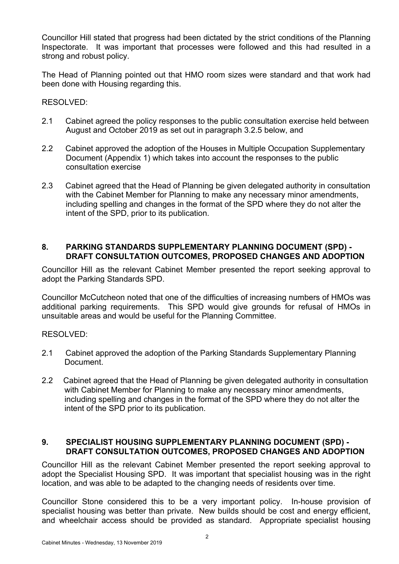Councillor Hill stated that progress had been dictated by the strict conditions of the Planning Inspectorate. It was important that processes were followed and this had resulted in a strong and robust policy.

The Head of Planning pointed out that HMO room sizes were standard and that work had been done with Housing regarding this.

RESOLVED:

- 2.1 Cabinet agreed the policy responses to the public consultation exercise held between August and October 2019 as set out in paragraph 3.2.5 below, and
- 2.2 Cabinet approved the adoption of the Houses in Multiple Occupation Supplementary Document (Appendix 1) which takes into account the responses to the public consultation exercise
- 2.3 Cabinet agreed that the Head of Planning be given delegated authority in consultation with the Cabinet Member for Planning to make any necessary minor amendments, including spelling and changes in the format of the SPD where they do not alter the intent of the SPD, prior to its publication.

#### **8. PARKING STANDARDS SUPPLEMENTARY PLANNING DOCUMENT (SPD) - DRAFT CONSULTATION OUTCOMES, PROPOSED CHANGES AND ADOPTION**

Councillor Hill as the relevant Cabinet Member presented the report seeking approval to adopt the Parking Standards SPD.

Councillor McCutcheon noted that one of the difficulties of increasing numbers of HMOs was additional parking requirements. This SPD would give grounds for refusal of HMOs in unsuitable areas and would be useful for the Planning Committee.

#### RESOLVED:

- 2.1 Cabinet approved the adoption of the Parking Standards Supplementary Planning Document.
- 2.2 Cabinet agreed that the Head of Planning be given delegated authority in consultation with Cabinet Member for Planning to make any necessary minor amendments, including spelling and changes in the format of the SPD where they do not alter the intent of the SPD prior to its publication.

#### **9. SPECIALIST HOUSING SUPPLEMENTARY PLANNING DOCUMENT (SPD) - DRAFT CONSULTATION OUTCOMES, PROPOSED CHANGES AND ADOPTION**

Councillor Hill as the relevant Cabinet Member presented the report seeking approval to adopt the Specialist Housing SPD. It was important that specialist housing was in the right location, and was able to be adapted to the changing needs of residents over time.

Councillor Stone considered this to be a very important policy. In-house provision of specialist housing was better than private. New builds should be cost and energy efficient, and wheelchair access should be provided as standard. Appropriate specialist housing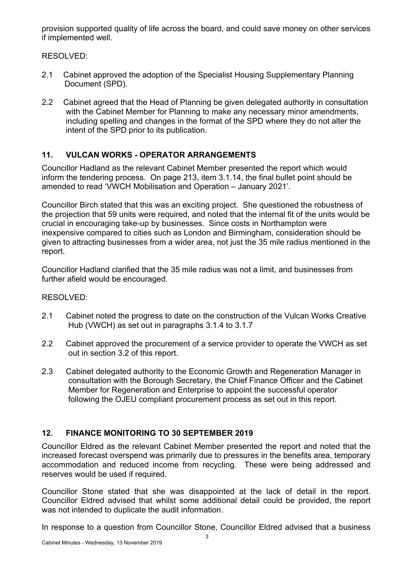provision supported quality of life across the board, and could save money on other services if implemented well.

RESOLVED:

- 2.1 Cabinet approved the adoption of the Specialist Housing Supplementary Planning Document (SPD).
- 2.2 Cabinet agreed that the Head of Planning be given delegated authority in consultation with the Cabinet Member for Planning to make any necessary minor amendments, including spelling and changes in the format of the SPD where they do not alter the intent of the SPD prior to its publication.

# **11. VULCAN WORKS - OPERATOR ARRANGEMENTS**

Councillor Hadland as the relevant Cabinet Member presented the report which would inform the tendering process. On page 213, item 3.1.14, the final bullet point should be amended to read 'VWCH Mobilisation and Operation – January 2021'.

Councillor Birch stated that this was an exciting project. She questioned the robustness of the projection that 59 units were required, and noted that the internal fit of the units would be crucial in encouraging take-up by businesses. Since costs in Northampton were inexpensive compared to cities such as London and Birmingham, consideration should be given to attracting businesses from a wider area, not just the 35 mile radius mentioned in the report.

Councillor Hadland clarified that the 35 mile radius was not a limit, and businesses from further afield would be encouraged.

### RESOLVED:

- 2.1 Cabinet noted the progress to date on the construction of the Vulcan Works Creative Hub (VWCH) as set out in paragraphs 3.1.4 to 3.1.7
- 2.2 Cabinet approved the procurement of a service provider to operate the VWCH as set out in section 3.2 of this report.
- 2.3 Cabinet delegated authority to the Economic Growth and Regeneration Manager in consultation with the Borough Secretary, the Chief Finance Officer and the Cabinet Member for Regeneration and Enterprise to appoint the successful operator following the OJEU compliant procurement process as set out in this report.

# **12. FINANCE MONITORING TO 30 SEPTEMBER 2019**

Councillor Eldred as the relevant Cabinet Member presented the report and noted that the increased forecast overspend was primarily due to pressures in the benefits area, temporary accommodation and reduced income from recycling. These were being addressed and reserves would be used if required.

Councillor Stone stated that she was disappointed at the lack of detail in the report. Councillor Eldred advised that whilst some additional detail could be provided, the report was not intended to duplicate the audit information.

In response to a question from Councillor Stone, Councillor Eldred advised that a business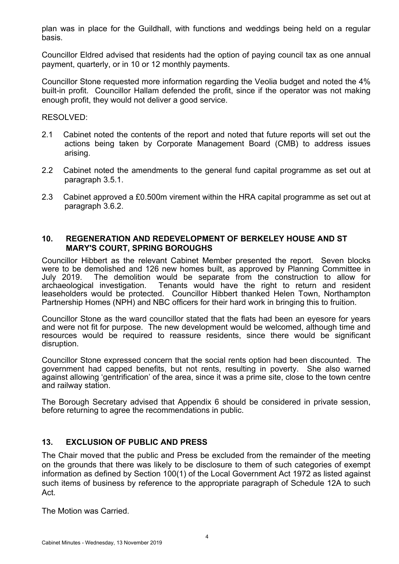plan was in place for the Guildhall, with functions and weddings being held on a regular basis.

Councillor Eldred advised that residents had the option of paying council tax as one annual payment, quarterly, or in 10 or 12 monthly payments.

Councillor Stone requested more information regarding the Veolia budget and noted the 4% built-in profit. Councillor Hallam defended the profit, since if the operator was not making enough profit, they would not deliver a good service.

RESOLVED:

- 2.1 Cabinet noted the contents of the report and noted that future reports will set out the actions being taken by Corporate Management Board (CMB) to address issues arising.
- 2.2 Cabinet noted the amendments to the general fund capital programme as set out at paragraph 3.5.1.
- 2.3 Cabinet approved a £0.500m virement within the HRA capital programme as set out at paragraph 3.6.2.

#### **10. REGENERATION AND REDEVELOPMENT OF BERKELEY HOUSE AND ST MARY'S COURT, SPRING BOROUGHS**

Councillor Hibbert as the relevant Cabinet Member presented the report. Seven blocks were to be demolished and 126 new homes built, as approved by Planning Committee in July 2019. The demolition would be separate from the construction to allow for Tenants would have the right to return and resident leaseholders would be protected. Councillor Hibbert thanked Helen Town, Northampton Partnership Homes (NPH) and NBC officers for their hard work in bringing this to fruition.

Councillor Stone as the ward councillor stated that the flats had been an eyesore for years and were not fit for purpose. The new development would be welcomed, although time and resources would be required to reassure residents, since there would be significant disruption.

Councillor Stone expressed concern that the social rents option had been discounted. The government had capped benefits, but not rents, resulting in poverty. She also warned against allowing 'gentrification' of the area, since it was a prime site, close to the town centre and railway station.

The Borough Secretary advised that Appendix 6 should be considered in private session, before returning to agree the recommendations in public.

### **13. EXCLUSION OF PUBLIC AND PRESS**

The Chair moved that the public and Press be excluded from the remainder of the meeting on the grounds that there was likely to be disclosure to them of such categories of exempt information as defined by Section 100(1) of the Local Government Act 1972 as listed against such items of business by reference to the appropriate paragraph of Schedule 12A to such Act.

The Motion was Carried.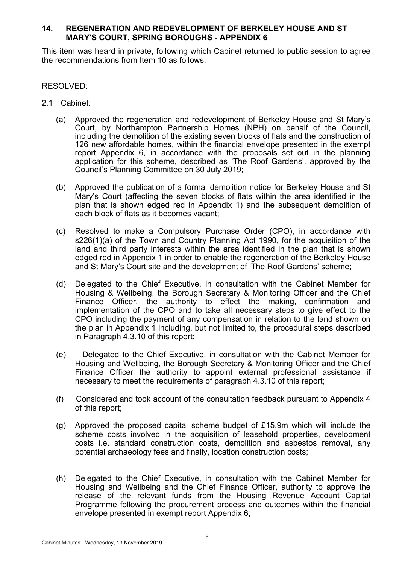#### **14. REGENERATION AND REDEVELOPMENT OF BERKELEY HOUSE AND ST MARY'S COURT, SPRING BOROUGHS - APPENDIX 6**

This item was heard in private, following which Cabinet returned to public session to agree the recommendations from Item 10 as follows:

RESOLVED:

- 2.1 Cabinet:
	- (a) Approved the regeneration and redevelopment of Berkeley House and St Mary's Court, by Northampton Partnership Homes (NPH) on behalf of the Council, including the demolition of the existing seven blocks of flats and the construction of 126 new affordable homes, within the financial envelope presented in the exempt report Appendix 6, in accordance with the proposals set out in the planning application for this scheme, described as 'The Roof Gardens', approved by the Council's Planning Committee on 30 July 2019;
	- (b) Approved the publication of a formal demolition notice for Berkeley House and St Mary's Court (affecting the seven blocks of flats within the area identified in the plan that is shown edged red in Appendix 1) and the subsequent demolition of each block of flats as it becomes vacant;
	- (c) Resolved to make a Compulsory Purchase Order (CPO), in accordance with s226(1)(a) of the Town and Country Planning Act 1990, for the acquisition of the land and third party interests within the area identified in the plan that is shown edged red in Appendix 1 in order to enable the regeneration of the Berkeley House and St Mary's Court site and the development of 'The Roof Gardens' scheme;
	- (d) Delegated to the Chief Executive, in consultation with the Cabinet Member for Housing & Wellbeing, the Borough Secretary & Monitoring Officer and the Chief Finance Officer, the authority to effect the making, confirmation and implementation of the CPO and to take all necessary steps to give effect to the CPO including the payment of any compensation in relation to the land shown on the plan in Appendix 1 including, but not limited to, the procedural steps described in Paragraph 4.3.10 of this report;
	- (e) Delegated to the Chief Executive, in consultation with the Cabinet Member for Housing and Wellbeing, the Borough Secretary & Monitoring Officer and the Chief Finance Officer the authority to appoint external professional assistance if necessary to meet the requirements of paragraph 4.3.10 of this report;
	- (f) Considered and took account of the consultation feedback pursuant to Appendix 4 of this report;
	- (g) Approved the proposed capital scheme budget of £15.9m which will include the scheme costs involved in the acquisition of leasehold properties, development costs i.e. standard construction costs, demolition and asbestos removal, any potential archaeology fees and finally, location construction costs;
	- (h) Delegated to the Chief Executive, in consultation with the Cabinet Member for Housing and Wellbeing and the Chief Finance Officer, authority to approve the release of the relevant funds from the Housing Revenue Account Capital Programme following the procurement process and outcomes within the financial envelope presented in exempt report Appendix 6;